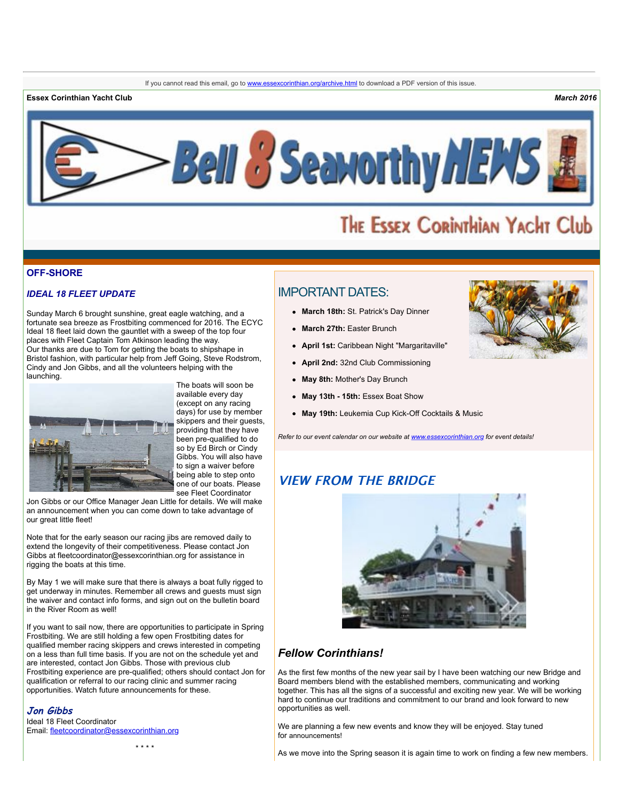**Essex Corinthian Yacht Club** *March 2016*



# THE ESSEX CORINTHIAN YACHT Club

#### **OFF-SHORE**

#### *IDEAL 18 FLEET UPDATE*

Sunday March 6 brought sunshine, great eagle watching, and a fortunate sea breeze as Frostbiting commenced for 2016. The ECYC Ideal 18 fleet laid down the gauntlet with a sweep of the top four places with Fleet Captain Tom Atkinson leading the way. Our thanks are due to Tom for getting the boats to shipshape in Bristol fashion, with particular help from Jeff Going, Steve Rodstrom, Cindy and Jon Gibbs, and all the volunteers helping with the launching.



The boats will soon be available every day (except on any racing days) for use by member skippers and their guests, providing that they have .<br>been pre-qualified to do so by Ed Birch or Cindy Gibbs. You will also have to sign a waiver before being able to step onto one of our boats. Please see Fleet Coordinator

Jon Gibbs or our Office Manager Jean Little for details. We will make an announcement when you can come down to take advantage of our great little fleet!

Note that for the early season our racing jibs are removed daily to extend the longevity of their competitiveness. Please contact Jon Gibbs at fleetcoordinator@essexcorinthian.org for assistance in rigging the boats at this time.

By May 1 we will make sure that there is always a boat fully rigged to get underway in minutes. Remember all crews and quests must sign the waiver and contact info forms, and sign out on the bulletin board in the River Room as well!

If you want to sail now, there are opportunities to participate in Spring Frostbiting. We are still holding a few open Frostbiting dates for qualified member racing skippers and crews interested in competing on a less than full time basis. If you are not on the schedule yet and are interested, contact Jon Gibbs. Those with previous club Frostbiting experience are pre-qualified; others should contact Jon for qualification or referral to our racing clinic and summer racing opportunities. Watch future announcements for these.

# **Jon Gibbs**

Ideal 18 Fleet Coordinator Email: [fleetcoordinator@essexcorinthian.org](mailto:fleetcoordinator@essexcorinthian.org)

# IMPORTANT DATES:

- **March 18th:** St. Patrick's Day Dinner
- **March 27th:** Easter Brunch
- **April 1st:** Caribbean Night "Margaritaville"
- **April 2nd:** 32nd Club Commissioning
- **May 8th:** Mother's Day Brunch
- **May 13th 15th:** Essex Boat Show
- **May 19th:** Leukemia Cup Kick-Off Cocktails & Music

*Refer to our event calendar on our website at [www.essexcorinthian.org](http://www.essexcorinthian.org) for event details!*

# **VIEW FROM THE BRIDGE**



# *Fellow Corinthians!*

As the first few months of the new year sail by I have been watching our new Bridge and Board members blend with the established members, communicating and working together. This has all the signs of a successful and exciting new year. We will be working hard to continue our traditions and commitment to our brand and look forward to new opportunities as well.

We are planning a few new events and know they will be enjoyed. Stay tuned for announcements!

As we move into the Spring season it is again time to work on finding a few new members.

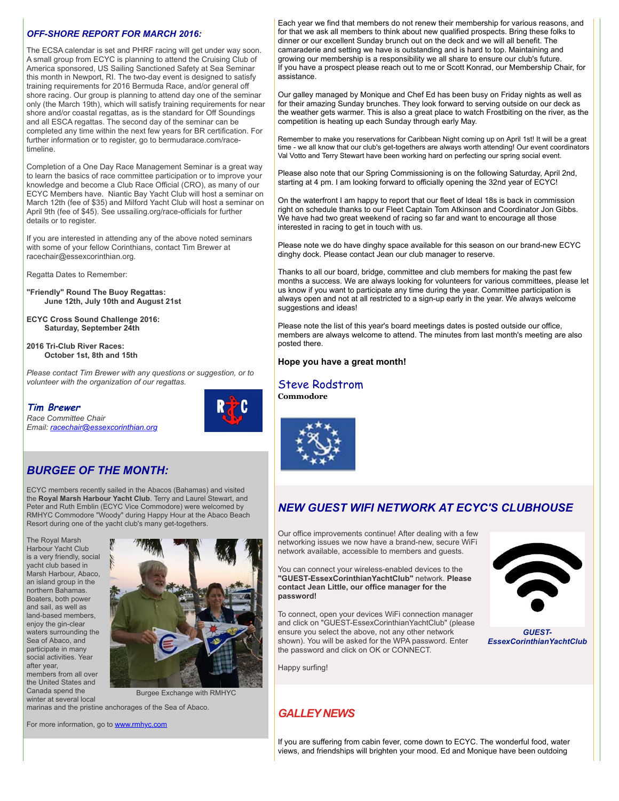## *OFF-SHORE REPORT FOR MARCH 2016:*

The ECSA calendar is set and PHRF racing will get under way soon. A small group from ECYC is planning to attend the Cruising Club of America sponsored, US Sailing Sanctioned Safety at Sea Seminar this month in Newport, RI. The two-day event is designed to satisfy training requirements for 2016 Bermuda Race, and/or general off shore racing. Our group is planning to attend day one of the seminar only (the March 19th), which will satisfy training requirements for near shore and/or coastal regattas, as is the standard for Off Soundings and all ESCA regattas. The second day of the seminar can be completed any time within the next few years for BR certification. For further information or to register, go to bermudarace.com/racetimeline.

Completion of a One Day Race Management Seminar is a great way to learn the basics of race committee participation or to improve your knowledge and become a Club Race Official (CRO), as many of our ECYC Members have. Niantic Bay Yacht Club will host a seminar on March 12th (fee of \$35) and Milford Yacht Club will host a seminar on April 9th (fee of \$45). See ussailing.org/race-officials for further details or to register.

If you are interested in attending any of the above noted seminars with some of your fellow Corinthians, contact Tim Brewer at racechair@essexcorinthian.org.

Regatta Dates to Remember:

**"Friendly" Round The Buoy Regattas: June 12th, July 10th and August 21st** 

**ECYC Cross Sound Challenge 2016: Saturday, September 24th**

**2016 Tri-Club River Races: October 1st, 8th and 15th** 

*Please contact Tim Brewer with any questions or suggestion, or to volunteer with the organization of our regattas.* 

**Tim Brewer**

*Race Committee Chair Email: [racechair@essexcorinthian.org](mailto:racechair@essexcorinthian.org)*

# *BURGEE OF THE MONTH:*

ECYC members recently sailed in the Abacos (Bahamas) and visited the **Royal Marsh Harbour Yacht Club**. Terry and Laurel Stewart, and Peter and Ruth Emblin (ECYC Vice Commodore) were welcomed by RMHYC Commodore "Woody" during Happy Hour at the Abaco Beach Resort during one of the yacht club's many get-togethers.

The Royal Marsh Harbour Yacht Club is a very friendly, social yacht club based in Marsh Harbour, Abaco, an island group in the northern Bahamas. Boaters, both power and sail, as well as land-based members, enjoy the gin-clear waters surrounding the Sea of Abaco, and participate in many social activities. Year after year, members from all over the United States and Canada spend the winter at several local



Burgee Exchange with RMHYC

marinas and the pristine anchorages of the Sea of Abaco.

For more information, go to [www.rmhyc.com](http://www.rmhyc.com)

Please also note that our Spring Commissioning is on the following Saturday, April 2nd, starting at 4 pm. I am looking forward to officially opening the 32nd year of ECYC! On the waterfront I am happy to report that our fleet of Ideal 18s is back in commission right on schedule thanks to our Fleet Captain Tom Atkinson and Coordinator Jon Gibbs. We have had two great weekend of racing so far and want to encourage all those interested in racing to get in touch with us. Please note we do have dinghy space available for this season on our brand-new ECYC dinghy dock. Please contact Jean our club manager to reserve.

assistance.

Thanks to all our board, bridge, committee and club members for making the past few months a success. We are always looking for volunteers for various committees, please let us know if you want to participate any time during the year. Committee participation is always open and not at all restricted to a sign-up early in the year. We always welcome suggestions and ideas!

Each year we find that members do not renew their membership for various reasons, and for that we ask all members to think about new qualified prospects. Bring these folks to dinner or our excellent Sunday brunch out on the deck and we will all benefit. The camaraderie and setting we have is outstanding and is hard to top. Maintaining and growing our membership is a responsibility we all share to ensure our club's future. If you have a prospect please reach out to me or Scott Konrad, our Membership Chair, for

Our galley managed by Monique and Chef Ed has been busy on Friday nights as well as for their amazing Sunday brunches. They look forward to serving outside on our deck as the weather gets warmer. This is also a great place to watch Frostbiting on the river, as the

Remember to make you reservations for Caribbean Night coming up on April 1st! It will be a great time - we all know that our club's get-togethers are always worth attending! Our event coordinators Val Votto and Terry Stewart have been working hard on perfecting our spring social event.

competition is heating up each Sunday through early May.

Please note the list of this year's board meetings dates is posted outside our office, members are always welcome to attend. The minutes from last month's meeting are also posted there.

#### **Hope you have a great month!**

#### Steve Rodstrom **[Commodore](mailto:commodore@essexcorinthian.org)**



# *NEW GUEST WIFI NETWORK AT ECYC'S CLUBHOUSE*

Our office improvements continue! After dealing with a few networking issues we now have a brand-new, secure WiFi network available, accessible to members and guests.

You can connect your wireless-enabled devices to the **"GUEST-EssexCorinthianYachtClub"** network. **Please contact Jean Little, our office manager for the password!**

To connect, open your devices WiFi connection manager and click on "GUEST-EssexCorinthianYachtClub" (please ensure you select the above, not any other network shown). You will be asked for the WPA password. Enter the password and click on OK or CONNECT.

Happy surfing!

*GUEST-EssexCorinthianYachtClub*

# *GALLEY NEWS*

If you are suffering from cabin fever, come down to ECYC. The wonderful food, water views, and friendships will brighten your mood. Ed and Monique have been outdoing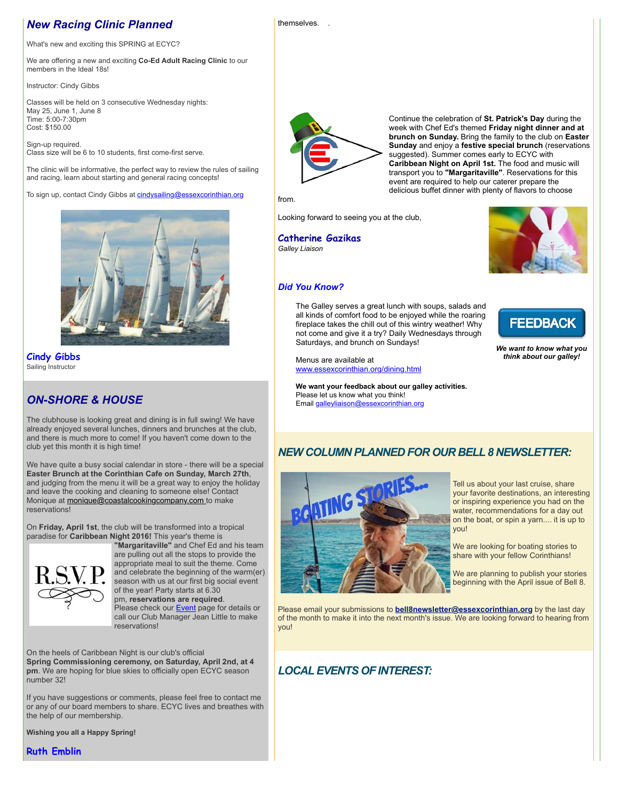# *New Racing Clinic Planned*

themselves. .

What's new and exciting this SPRING at ECYC?

We are offering a new and exciting **Co-Ed Adult Racing Clinic** to our members in the Ideal 18s!

Instructor: Cindy Gibbs

Classes will be held on 3 consecutive Wednesday nights: May 25, June 1, June 8 Time: 5:00-7:30pm Cost: \$150.00

Sign-up required. Class size will be 6 to 10 students, first come-first serve.

The clinic will be informative, the perfect way to review the rules of sailing and racing, learn about starting and general racing concepts!

To sign up, contact Cindy Gibbs at [cindysailing@essexcorinthian.org](mailto:cindysailing@essexcorinthian.org)



**Cindy Gibbs** Sailing Instructor

# *ON-SHORE & HOUSE*

The clubhouse is looking great and dining is in full swing! We have already enjoyed several lunches, dinners and brunches at the club, and there is much more to come! If you haven't come down to the club yet this month it is high time!

We have quite a busy social calendar in store - there will be a special **Easter Brunch at the Corinthian Cafe on Sunday, March 27th**, and judging from the menu it will be a great way to enjoy the holiday and leave the cooking and cleaning to someone else! Contact Monique at **monique@coastalcookingcompany.com** to make reservations!

On **Friday, April 1st**, the club will be transformed into a tropical paradise for **Caribbean Night 2016!** This year's theme is **"Margaritaville"** and Chef Ed and his team



are pulling out all the stops to provide the appropriate meal to suit the theme. Come and celebrate the beginning of the warm(er) season with us at our first big social event of the year! Party starts at 6.30 pm, **reservations are required**. Please check our **Event** page for details or call our Club Manager Jean Little to make reservations!

On the heels of Caribbean Night is our club's official **Spring Commissioning ceremony, on Saturday, April 2nd, at 4 pm**. We are hoping for blue skies to officially open ECYC season number 32!

If you have suggestions or comments, please feel free to contact me or any of our board members to share. ECYC lives and breathes with the help of our membership.

**Wishing you all a Happy Spring!** 

**Ruth Emblin**



Continue the celebration of **St. Patrick's Day** during the week with Chef Ed's themed **Friday night dinner and at brunch on Sunday.** Bring the family to the club on **Easter Sunday** and enjoy a **festive special brunch** (reservations suggested). Summer comes early to ECYC with **Caribbean Night on April 1st.** The food and music will transport you to **"Margaritaville"**. Reservations for this event are required to help our caterer prepare the delicious buffet dinner with plenty of flavors to choose

from.

Looking forward to seeing you at the club,

**Catherine Gazikas** *Galley Liaison*



# *Did You Know?*

The Galley serves a great lunch with soups, salads and all kinds of comfort food to be enjoyed while the roaring fireplace takes the chill out of this wintry weather! Why not come and give it a try? Daily Wednesdays through Saturdays, and brunch on Sundays!

Menus are available at [www.essexcorinthian.org/dining.html](http://www.essexcorinthian.org/dining.html)

**We want your feedback about our galley activities.** Please let us know what you think! Email [galleyliaison@essexcorinthian.org](mailto:galleyliaison@essexcorinthian.org)



*We want to know what you think about our galley!*

# *NEW COLUMN PLANNED FOR OUR BELL 8 NEWSLETTER:*



Tell us about your last cruise, share your favorite destinations, an interesting or inspiring experience you had on the water, recommendations for a day out on the boat, or spin a yarn.... it is up to you!

We are looking for boating stories to share with your fellow Corinthians!

We are planning to publish your stories beginning with the April issue of Bell 8.

Please email your submissions to **[bell8newsletter@essexcorinthian.org](mailto:bell8newsletter@essexcorinthian.org)** by the last day of the month to make it into the next month's issue. We are looking forward to hearing from you!

# *LOCAL EVENTS OF INTEREST:*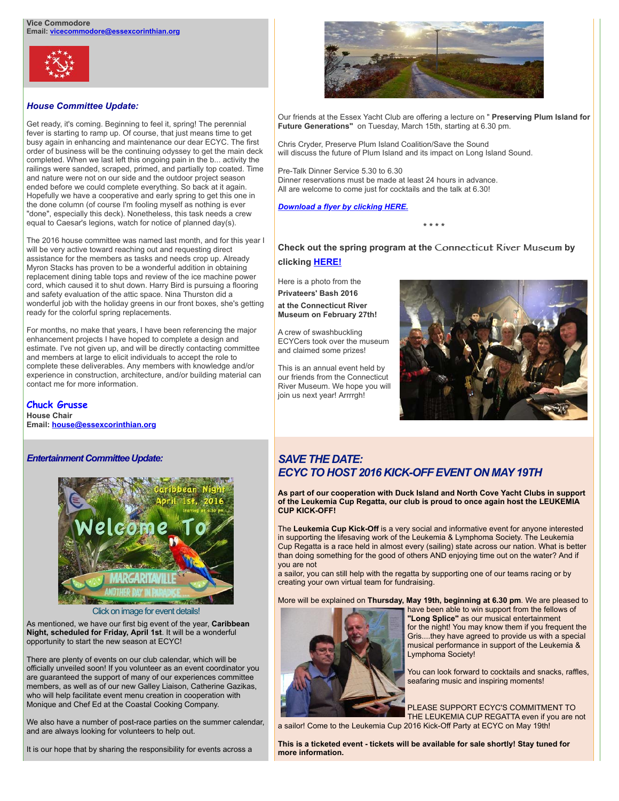

## *House Committee Update:*

Get ready, it's coming. Beginning to feel it, spring! The perennial fever is starting to ramp up. Of course, that just means time to get busy again in enhancing and maintenance our dear ECYC. The first order of business will be the continuing odyssey to get the main deck completed. When we last left this ongoing pain in the b... activity the railings were sanded, scraped, primed, and partially top coated. Time and nature were not on our side and the outdoor project season ended before we could complete everything. So back at it again. Hopefully we have a cooperative and early spring to get this one in the done column (of course I'm fooling myself as nothing is ever "done", especially this deck). Nonetheless, this task needs a crew equal to Caesar's legions, watch for notice of planned day(s).

The 2016 house committee was named last month, and for this year I will be very active toward reaching out and requesting direct assistance for the members as tasks and needs crop up. Already Myron Stacks has proven to be a wonderful addition in obtaining replacement dining table tops and review of the ice machine power cord, which caused it to shut down. Harry Bird is pursuing a flooring and safety evaluation of the attic space. Nina Thurston did a wonderful job with the holiday greens in our front boxes, she's getting ready for the colorful spring replacements.

For months, no make that years, I have been referencing the major enhancement projects I have hoped to complete a design and estimate. I've not given up, and will be directly contacting committee and members at large to elicit individuals to accept the role to complete these deliverables. Any members with knowledge and/or experience in construction, architecture, and/or building material can contact me for more information.

#### **Chuck Grusse House Chair Email: [house@essexcorinthian.org](mailto:house@essexcorinthian.org)**

*Entertainment Committee Update:*



Click on image for event details!

As mentioned, we have our first big event of the year, **Caribbean Night, scheduled for Friday, April 1st**. It will be a wonderful opportunity to start the new season at ECYC!

There are plenty of events on our club calendar, which will be officially unveiled soon! If you volunteer as an event coordinator you are guaranteed the support of many of our experiences committee members, as well as of our new Galley Liaison, Catherine Gazikas, who will help facilitate event menu creation in cooperation with Monique and Chef Ed at the Coastal Cooking Company.

We also have a number of post-race parties on the summer calendar, and are always looking for volunteers to help out.

It is our hope that by sharing the responsibility for events across a



Our friends at the Essex Yacht Club are offering a lecture on " **Preserving Plum Island for Future Generations"** on Tuesday, March 15th, starting at 6.30 pm.

Chris Cryder, Preserve Plum Island Coalition/Save the Sound will discuss the future of Plum Island and its impact on Long Island Sound.

Pre-Talk Dinner Service 5.30 to 6.30 Dinner reservations must be made at least 24 hours in advance. All are welcome to come just for cocktails and the talk at 6.30!

#### *[Download a flyer by clicking HERE.](http://r20.rs6.net/tn.jsp?e=001Gs7icPmytMae9dvt8j4ct8Ul64mIJzP68tpN77v-xuX4EQNGTKhlsCsR4X0FwZNsqBdEdHC3-6ObeDBrTD663U471aj-3QzcTbGbJGGveZt80k-mxItyouXN_OyQsCwvjl0l1tPngxgRDewTXMRsrTEvndAhngrSvhU7Rj1-2XWy3QS5hM_M8A==)*

**\* \* \* \***

**Check out the spring program at the** Connecticut River Museum **by clicking [HERE!](http://www.ctrivermuseum.org)**

Here is a photo from the **Privateers' Bash 2016 at the Connecticut River Museum on February 27th!**

A crew of swashbuckling ECYCers took over the museum and claimed some prizes!

This is an annual event held by our friends from the Connecticut River Museum. We hope you will join us next year! Arrrrgh!



# *SAVE THE DATE: ECYC TO HOST 2016 KICK-OFF EVENT ON MAY 19TH*

**As part of our cooperation with Duck Island and North Cove Yacht Clubs in support of the Leukemia Cup Regatta, our club is proud to once again host the LEUKEMIA CUP KICK-OFF!**

The **Leukemia Cup Kick-Off** is a very social and informative event for anyone interested in supporting the lifesaving work of the Leukemia & Lymphoma Society. The Leukemia Cup Regatta is a race held in almost every (sailing) state across our nation. What is better than doing something for the good of others AND enjoying time out on the water? And if you are not

a sailor, you can still help with the regatta by supporting one of our teams racing or by creating your own virtual team for fundraising.

More will be explained on **Thursday, May 19th, beginning at 6.30 pm**. We are pleased to



have been able to win support from the fellows of **"Long Splice"** as our musical entertainment for the night! You may know them if you frequent the Gris....they have agreed to provide us with a special musical performance in support of the Leukemia & Lymphoma Society!

You can look forward to cocktails and snacks, raffles, seafaring music and inspiring moments!

PLEASE SUPPORT ECYC'S COMMITMENT TO THE LEUKEMIA CUP REGATTA even if you are not

a sailor! Come to the Leukemia Cup 2016 Kick-Off Party at ECYC on May 19th!

**This is a ticketed event - tickets will be available for sale shortly! Stay tuned for more information.**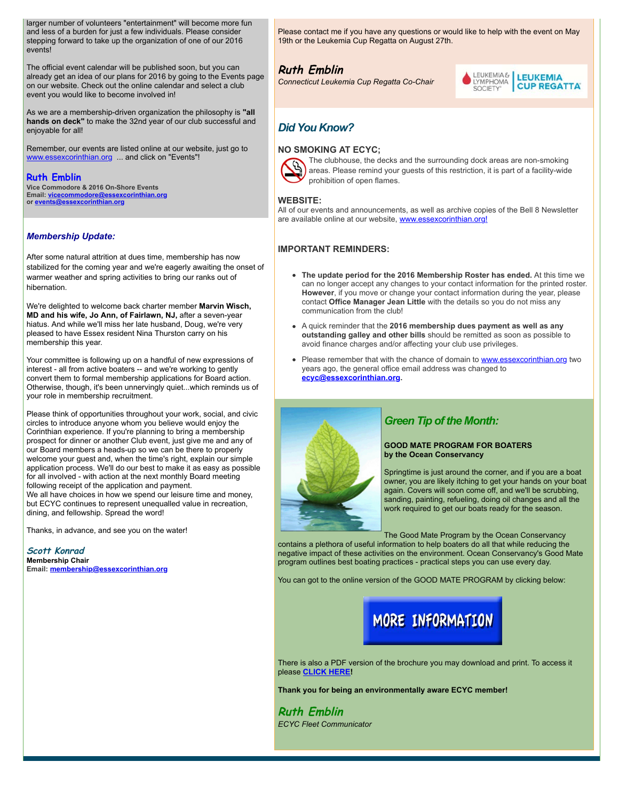larger number of volunteers "entertainment" will become more fun and less of a burden for just a few individuals. Please consider stepping forward to take up the organization of one of our 2016 events!

The official event calendar will be published soon, but you can already get an idea of our plans for 2016 by going to the Events page on our website. Check out the online calendar and select a club event you would like to become involved in!

As we are a membership-driven organization the philosophy is **"all hands on deck"** to make the 32nd year of our club successful and enjoyable for all!

Remember, our events are listed online at our website, just go to [www.essexcorinthian.org](http://www.essexcorinthian.org) ... and click on "Events"!

#### **Ruth Emblin**

**Vice Commodore & 2016 On-Shore Events Email: [vicecommodore@essexcorinthian.org](mailto:vicecommodore@essexcorinthian.org) or [events@essexcorinthian.org](mailto:events@essexcorinthian.org)**

#### *Membership Update:*

After some natural attrition at dues time, membership has now stabilized for the coming year and we're eagerly awaiting the onset of warmer weather and spring activities to bring our ranks out of hibernation.

We're delighted to welcome back charter member **Marvin Wisch, MD and his wife, Jo Ann, of Fairlawn, NJ,** after a seven-year hiatus. And while we'll miss her late husband, Doug, we're very pleased to have Essex resident Nina Thurston carry on his membership this year.

Your committee is following up on a handful of new expressions of interest - all from active boaters -- and we're working to gently convert them to formal membership applications for Board action. Otherwise, though, it's been unnervingly quiet...which reminds us of your role in membership recruitment.

Please think of opportunities throughout your work, social, and civic circles to introduce anyone whom you believe would enjoy the Corinthian experience. If you're planning to bring a membership prospect for dinner or another Club event, just give me and any of our Board members a heads-up so we can be there to properly welcome your guest and, when the time's right, explain our simple application process. We'll do our best to make it as easy as possible for all involved - with action at the next monthly Board meeting following receipt of the application and payment. We all have choices in how we spend our leisure time and money,

but ECYC continues to represent unequalled value in recreation, dining, and fellowship. Spread the word!

Thanks, in advance, and see you on the water!

**Scott Konrad Membership Chair Email: [membership@essexcorinthian.org](mailto:membership@essexcorinthian.org)** Please contact me if you have any questions or would like to help with the event on May 19th or the Leukemia Cup Regatta on August 27th.

# **[Ruth Emblin](mailto:vicecommodore@essexcorinthian.org)**

*Connecticut Leukemia Cup Regatta Co-Chair*



# *Did You Know?*

#### **NO SMOKING AT ECYC;**



The clubhouse, the decks and the surrounding dock areas are non-smoking areas. Please remind your guests of this restriction, it is part of a facility-wide prohibition of open flames.

#### **WEBSITE:**

All of our events and announcements, as well as archive copies of the Bell 8 Newsletter are available online at our website, [www.essexcorinthian.org!](http://www.essexcorinthian.org)

#### **IMPORTANT REMINDERS:**

- **The update period for the 2016 Membership Roster has ended.** At this time we can no longer accept any changes to your contact information for the printed roster. **However**, if you move or change your contact information during the year, please contact **Office Manager Jean Little** with the details so you do not miss any communication from the club!
- A quick reminder that the **2016 membership dues payment as well as any**  $\bullet$ **outstanding galley and other bills** should be remitted as soon as possible to avoid finance charges and/or affecting your club use privileges.
- $\bullet$ Please remember that with the chance of domain to **www.essexcorinthian.org** two years ago, the general office email address was changed to **[ecyc@essexcorinthian.org.](mailto:ecyc@essexcorinthian.org)**



# *Green Tip of the Month:*

#### **GOOD MATE PROGRAM FOR BOATERS by the Ocean Conservancy**

Springtime is just around the corner, and if you are a boat owner, you are likely itching to get your hands on your boat again. Covers will soon come off, and we'll be scrubbing, sanding, painting, refueling, doing oil changes and all the work required to get our boats ready for the season.

The Good Mate Program by the Ocean Conservancy

contains a plethora of useful information to help boaters do all that while reducing the negative impact of these activities on the environment. Ocean Conservancy's Good Mate program outlines best boating practices - practical steps you can use every day.

You can got to the online version of the GOOD MATE PROGRAM by clicking below:



There is also a PDF version of the brochure you may download and print. To access it please **[CLICK HERE!](http://www.oceanconservancy.org/do-your-part/green-boating/2014-good-mate-brochure.pdf)**

**Thank you for being an environmentally aware ECYC member!**

**Ruth Emblin**  *ECYC Fleet Communicator*